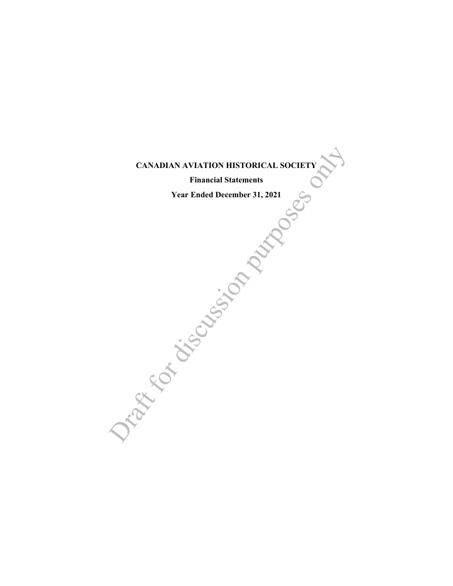**Financial Statements**

**Year Ended December 31, 2021**

CANADIAN AVIATION HISTORICAL SOCIETY<br>
Financial Statements<br>
Year Ended December 31, 2021<br>
Control of the Control of the Control of the Control of the Control of Control of Control of Control of Control of Control of Contro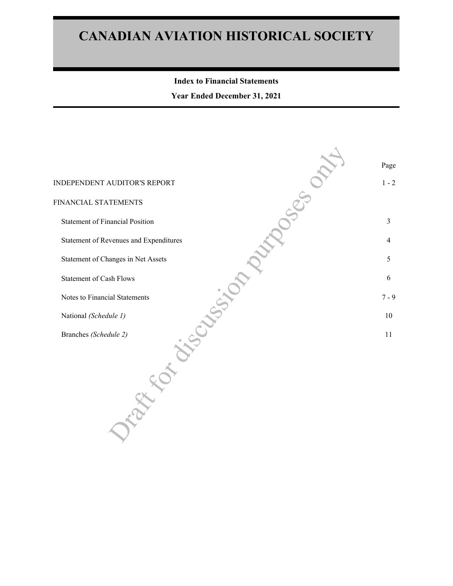### **Index to Financial Statements**

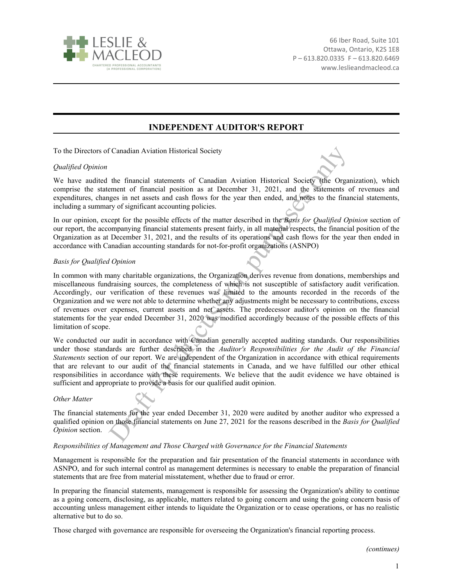

### **INDEPENDENT AUDITOR'S REPORT**

To the Directors of Canadian Aviation Historical Society

#### *Qualified Opinion*

We have audited the financial statements of Canadian Aviation Historical Society (the Organization), which comprise the statement of financial position as at December 31, 2021, and the statements of revenues and expenditures, changes in net assets and cash flows for the year then ended, and notes to the financial statements, including a summary of significant accounting policies.

In our opinion, except for the possible effects of the matter described in the *Basis for Qualified Opinion* section of our report, the accompanying financial statements present fairly, in all material respects, the financial position of the Organization as at December 31, 2021, and the results of its operations and cash flows for the year then ended in accordance with Canadian accounting standards for not-for-profit organizations (ASNPO)

#### *Basis for Qualified Opinion*

Canadian Aviation Historical Society<br>
the financial statements of Canadian Aviation Historical Society (the Organ<br>
emerned of financial position as at December 31, 2021, and the statements<br>
orges in net sasets and cash fl In common with many charitable organizations, the Organization derives revenue from donations, memberships and miscellaneous fundraising sources, the completeness of which is not susceptible of satisfactory audit verification. Accordingly, our verification of these revenues was limited to the amounts recorded in the records of the Organization and we were not able to determine whether any adjustments might be necessary to contributions, excess of revenues over expenses, current assets and net assets. The predecessor auditor's opinion on the financial statements for the year ended December 31, 2020 was modified accordingly because of the possible effects of this limitation of scope.

We conducted our audit in accordance with Canadian generally accepted auditing standards. Our responsibilities under those standards are further described in the *Auditor's Responsibilities for the Audit of the Financial Statements* section of our report. We are independent of the Organization in accordance with ethical requirements that are relevant to our audit of the financial statements in Canada, and we have fulfilled our other ethical responsibilities in accordance with these requirements. We believe that the audit evidence we have obtained is sufficient and appropriate to provide a basis for our qualified audit opinion.

#### *Other Matter*

The financial statements for the year ended December 31, 2020 were audited by another auditor who expressed a qualified opinion on those financial statements on June 27, 2021 for the reasons described in the *Basis for Qualified Opinion* section.

#### *Responsibilities of Management and Those Charged with Governance for the Financial Statements*

Management is responsible for the preparation and fair presentation of the financial statements in accordance with ASNPO, and for such internal control as management determines is necessary to enable the preparation of financial statements that are free from material misstatement, whether due to fraud or error.

In preparing the financial statements, management is responsible for assessing the Organization's ability to continue as a going concern, disclosing, as applicable, matters related to going concern and using the going concern basis of accounting unless management either intends to liquidate the Organization or to cease operations, or has no realistic alternative but to do so.

Those charged with governance are responsible for overseeing the Organization's financial reporting process.

*(continues)*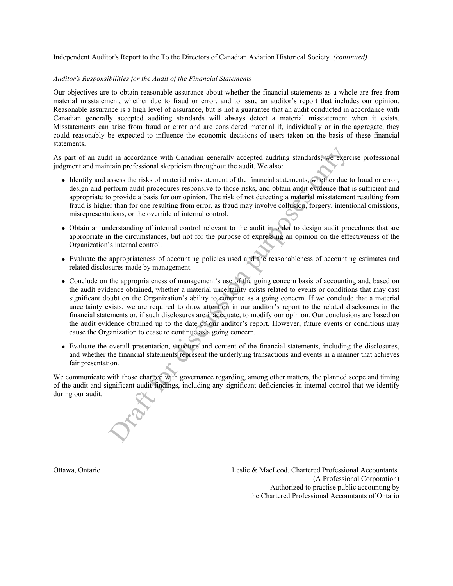Independent Auditor's Report to the To the Directors of Canadian Aviation Historical Society *(continued)*

#### *Auditor's Responsibilities for the Audit of the Financial Statements*

Our objectives are to obtain reasonable assurance about whether the financial statements as a whole are free from material misstatement, whether due to fraud or error, and to issue an auditor's report that includes our opinion. Reasonable assurance is a high level of assurance, but is not a guarantee that an audit conducted in accordance with Canadian generally accepted auditing standards will always detect a material misstatement when it exists. Misstatements can arise from fraud or error and are considered material if, individually or in the aggregate, they could reasonably be expected to influence the economic decisions of users taken on the basis of these financial statements.

As part of an audit in accordance with Canadian generally accepted auditing standards, we exercise professional judgment and maintain professional skepticism throughout the audit. We also:

- Identify and assess the risks of material misstatement of the financial statements, whether due to fraud or error, design and perform audit procedures responsive to those risks, and obtain audit evidence that is sufficient and appropriate to provide a basis for our opinion. The risk of not detecting a material misstatement resulting from fraud is higher than for one resulting from error, as fraud may involve collusion, forgery, intentional omissions, misrepresentations, or the override of internal control.
- Obtain an understanding of internal control relevant to the audit in order to design audit procedures that are appropriate in the circumstances, but not for the purpose of expressing an opinion on the effectiveness of the Organization's internal control.
- Evaluate the appropriateness of accounting policies used and the reasonableness of accounting estimates and related disclosures made by management.
- it in accordance with Canadian generally accepted auditing standards, we exertain professional skepticism throughout the audit. We also:<br>
sassess the risks of material misstatement of the financial statements, whether due Conclude on the appropriateness of management's use of the going concern basis of accounting and, based on the audit evidence obtained, whether a material uncertainty exists related to events or conditions that may cast significant doubt on the Organization's ability to continue as a going concern. If we conclude that a material uncertainty exists, we are required to draw attention in our auditor's report to the related disclosures in the financial statements or, if such disclosures are inadequate, to modify our opinion. Our conclusions are based on the audit evidence obtained up to the date of our auditor's report. However, future events or conditions may cause the Organization to cease to continue as a going concern.
- Evaluate the overall presentation, structure and content of the financial statements, including the disclosures, and whether the financial statements represent the underlying transactions and events in a manner that achieves fair presentation.

We communicate with those charged with governance regarding, among other matters, the planned scope and timing of the audit and significant audit findings, including any significant deficiencies in internal control that we identify during our audit.

Ottawa, Ontario **Leslie & MacLeod, Chartered Professional Accountants** Leslie & MacLeod, Chartered Professional Accountants (A Professional Corporation) Authorized to practise public accounting by the Chartered Professional Accountants of Ontario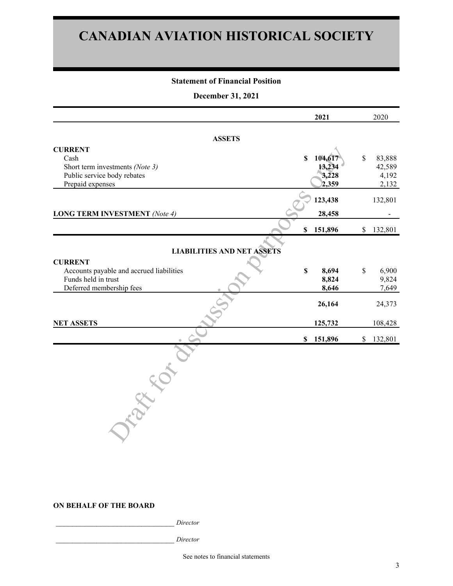### **Statement of Financial Position**

**December 31, 2021**

|                                                                                                               |                           | 2021                                | 2020                                     |
|---------------------------------------------------------------------------------------------------------------|---------------------------|-------------------------------------|------------------------------------------|
| <b>ASSETS</b>                                                                                                 |                           |                                     |                                          |
| <b>CURRENT</b><br>Cash<br>Short term investments (Note 3)<br>Public service body rebates<br>Prepaid expenses  | $\boldsymbol{\mathsf{S}}$ | 104,617<br>13,234<br>3,228<br>2,359 | \$<br>83,888<br>42,589<br>4,192<br>2,132 |
| <b>LONG TERM INVESTMENT</b> (Note 4)                                                                          |                           | 123,438<br>28,458                   | 132,801                                  |
|                                                                                                               | $\mathbb S$               | 151,896                             | \$<br>132,801                            |
| <b>LIABILITIES AND NET ASSETS</b>                                                                             |                           |                                     |                                          |
| <b>CURRENT</b><br>Accounts payable and accrued liabilities<br>Funds held in trust<br>Deferred membership fees | $\mathbb S$               | 8,694<br>8,824<br>8,646             | \$<br>6,900<br>9,824<br>7,649            |
|                                                                                                               |                           | 26,164                              | 24,373                                   |
| <b>NET ASSETS</b>                                                                                             |                           | 125,732                             | 108,428                                  |
|                                                                                                               |                           | \$151,896                           | \$<br>132,801                            |
| $\alpha$                                                                                                      |                           |                                     |                                          |
| ON BEHALF OF THE BOARD                                                                                        |                           |                                     |                                          |
| Director                                                                                                      |                           |                                     |                                          |

\_\_\_\_\_\_\_\_\_\_\_\_\_\_\_\_\_\_\_\_\_\_\_\_\_\_\_\_\_ *Director*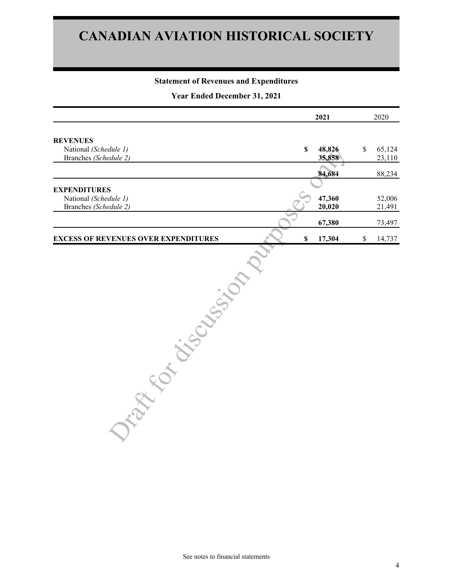### **Statement of Revenues and Expenditures**

|                                                                       |                           | 2021             |             | 2020             |
|-----------------------------------------------------------------------|---------------------------|------------------|-------------|------------------|
| <b>REVENUES</b><br>National (Schedule 1)<br>Branches (Schedule 2)     | $\boldsymbol{\mathsf{S}}$ | 48,826<br>35,858 | $\mathbb S$ | 65,124<br>23,110 |
|                                                                       |                           | 84,684           |             | 88,234           |
| <b>EXPENDITURES</b><br>National (Schedule 1)<br>Branches (Schedule 2) |                           | 47,360<br>20,020 |             | 52,006<br>21,491 |
|                                                                       |                           | 67,380           |             | 73,497           |
| <b>EXCESS OF REVENUES OVER EXPENDITURES</b>                           | $\mathbb{S}$              | 17,304           | \$          | 14,737           |
| Discounted May<br>in the<br>REC                                       |                           |                  |             |                  |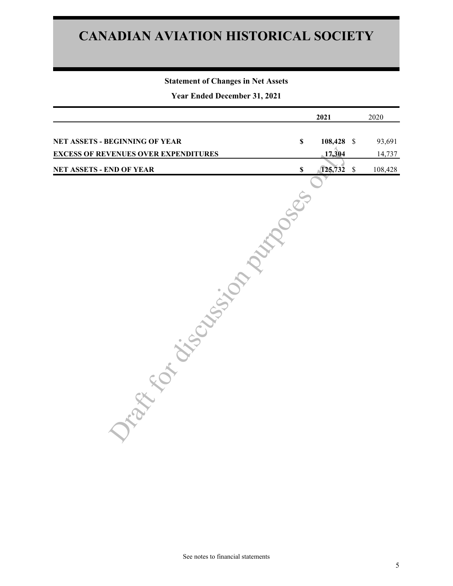### **Statement of Changes in Net Assets**

|                                             |             | 2021    |               | 2020    |
|---------------------------------------------|-------------|---------|---------------|---------|
|                                             |             |         |               |         |
| <b>NET ASSETS - BEGINNING OF YEAR</b>       | $\mathbb S$ | 108,428 | $\mathcal{S}$ | 93,691  |
| <b>EXCESS OF REVENUES OVER EXPENDITURES</b> |             | 17,304  |               | 14,737  |
| <b>NET ASSETS - END OF YEAR</b>             | $\mathbb S$ | 125,732 | $\$$          | 108,428 |
| Imposed                                     |             |         |               |         |
|                                             |             |         |               |         |
|                                             |             |         |               |         |
| Tape of Chicago and P                       |             |         |               |         |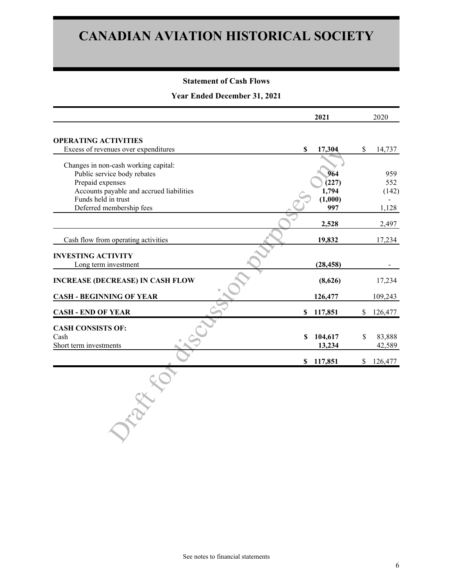### **Statement of Cash Flows**

|                                                                                     |             | 2021                      |              | 2020             |
|-------------------------------------------------------------------------------------|-------------|---------------------------|--------------|------------------|
| <b>OPERATING ACTIVITIES</b><br>Excess of revenues over expenditures                 | $\mathbf S$ | 17,304                    | \$           | 14,737           |
| Changes in non-cash working capital:<br>Public service body rebates                 |             | 964                       |              | 959              |
| Prepaid expenses<br>Accounts payable and accrued liabilities<br>Funds held in trust |             | (227)<br>1,794<br>(1,000) |              | 552<br>(142)     |
| Deferred membership fees                                                            |             | 997<br>2,528              |              | 1,128<br>2,497   |
| Cash flow from operating activities                                                 |             | 19,832                    |              | 17,234           |
| <b>INVESTING ACTIVITY</b><br>Long term investment                                   |             | (28, 458)                 |              |                  |
| <b>INCREASE (DECREASE) IN CASH FLOW</b>                                             |             | (8,626)                   |              | 17,234           |
| <b>CASH - BEGINNING OF YEAR</b>                                                     |             | 126,477                   |              | 109,243          |
| <b>CASH - END OF YEAR</b>                                                           | \$          | 117,851                   | \$           | 126,477          |
| <b>CASH CONSISTS OF:</b><br>Cash<br>Short term investments                          | \$          | 104,617<br>13,234         | $\mathbb{S}$ | 83,888<br>42,589 |
|                                                                                     | \$          | 117,851                   | \$           | 126,477          |
|                                                                                     |             |                           |              |                  |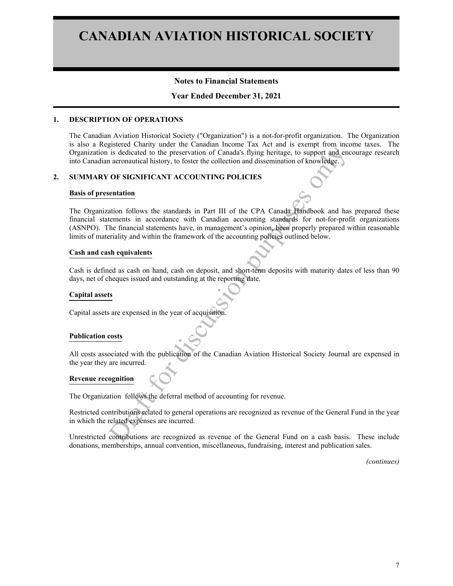### **Notes to Financial Statements**

**Year Ended December 31, 2021**

#### **1. DESCRIPTION OF OPERATIONS**

The Canadian Aviation Historical Society ("Organization") is a not-for-profit organization. The Organization is also a Registered Charity under the Canadian Income Tax Act and is exempt from income taxes. The Organization is dedicated to the preservation of Canada's flying heritage, to support and encourage research into Canadian aeronautical history, to foster the collection and dissemination of knowledge.

#### **2. SUMMARY OF SIGNIFICANT ACCOUNTING POLICIES**

#### **Basis of presentation**

is dedicated to the preservation of Canada's flying heritage, to support and enconautical history, to foster the collection and dissemination of knowledge.<br> **OF SIGNIFICANT ACCOUNTING POLICIES**<br> **OF SIGNIFICANT ACCOUNTING** The Organization follows the standards in Part III of the CPA Canada Handbook and has prepared these financial statements in accordance with Canadian accounting standards for not-for-profit organizations (ASNPO). The financial statements have, in management's opinion, been properly prepared within reasonable limits of materiality and within the framework of the accounting policies outlined below.

#### **Cash and cash equivalents**

Cash is defined as cash on hand, cash on deposit, and short-term deposits with maturity dates of less than 90 days, net of cheques issued and outstanding at the reporting date.

#### **Capital assets**

Capital assets are expensed in the year of acquisition.

#### **Publication costs**

All costs associated with the publication of the Canadian Aviation Historical Society Journal are expensed in the year they are incurred.

#### **Revenue recognition**

The Organization follows the deferral method of accounting for revenue.

Restricted contributions related to general operations are recognized as revenue of the General Fund in the year in which the related expenses are incurred.

Unrestricted contributions are recognized as revenue of the General Fund on a cash basis. These include donations, memberships, annual convention, miscellaneous, fundraising, interest and publication sales.

*(continues)*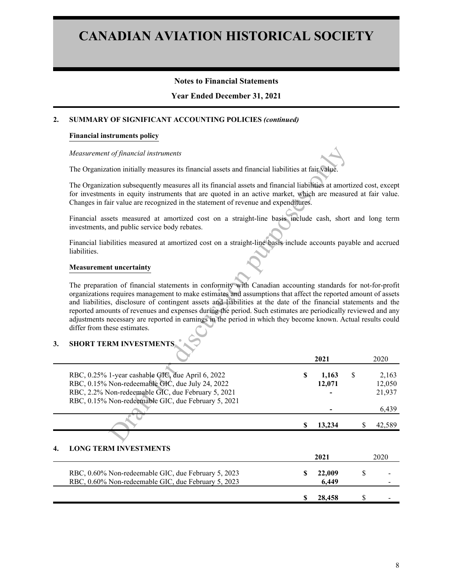### **Notes to Financial Statements**

#### **Year Ended December 31, 2021**

#### **2. SUMMARY OF SIGNIFICANT ACCOUNTING POLICIES** *(continued)*

#### **Financial instruments policy**

#### **Measurement uncertainty**

#### **3. SHORT TERM INVESTMENT**

|    | Measurement of financial instruments                                                                                                                                                                                                                                                                                                                                                                                                                                                                                                                                                                               |                       |                                          |
|----|--------------------------------------------------------------------------------------------------------------------------------------------------------------------------------------------------------------------------------------------------------------------------------------------------------------------------------------------------------------------------------------------------------------------------------------------------------------------------------------------------------------------------------------------------------------------------------------------------------------------|-----------------------|------------------------------------------|
|    | The Organization initially measures its financial assets and financial liabilities at fair value.                                                                                                                                                                                                                                                                                                                                                                                                                                                                                                                  |                       |                                          |
|    | The Organization subsequently measures all its financial assets and financial liabilities at amortized cost, except<br>for investments in equity instruments that are quoted in an active market, which are measured at fair value.<br>Changes in fair value are recognized in the statement of revenue and expenditures.                                                                                                                                                                                                                                                                                          |                       |                                          |
|    | Financial assets measured at amortized cost on a straight-line basis include cash, short and long term<br>investments, and public service body rebates.                                                                                                                                                                                                                                                                                                                                                                                                                                                            |                       |                                          |
|    | Financial liabilities measured at amortized cost on a straight-line basis include accounts payable and accrued<br>liabilities.                                                                                                                                                                                                                                                                                                                                                                                                                                                                                     |                       |                                          |
|    | <b>Measurement uncertainty</b>                                                                                                                                                                                                                                                                                                                                                                                                                                                                                                                                                                                     |                       |                                          |
|    | The preparation of financial statements in conformity with Canadian accounting standards for not-for-profit<br>organizations requires management to make estimates and assumptions that affect the reported amount of assets<br>and liabilities, disclosure of contingent assets and liabilities at the date of the financial statements and the<br>reported amounts of revenues and expenses during the period. Such estimates are periodically reviewed and any<br>adjustments necessary are reported in earnings in the period in which they become known. Actual results could<br>differ from these estimates. |                       |                                          |
| 3. | <b>SHORT TERM INVESTMENTS</b>                                                                                                                                                                                                                                                                                                                                                                                                                                                                                                                                                                                      | 2021                  | 2020                                     |
|    | RBC, 0.25% 1-year cashable GIC, due April 6, 2022<br>RBC, 0.15% Non-redeemable GIC, due July 24, 2022<br>RBC, 2.2% Non-redeemable GIC, due February 5, 2021<br>RBC, 0.15% Non-redeemable GIC, due February 5, 2021                                                                                                                                                                                                                                                                                                                                                                                                 | \$<br>1,163<br>12,071 | \$<br>2,163<br>12,050<br>21,937<br>6,439 |
|    |                                                                                                                                                                                                                                                                                                                                                                                                                                                                                                                                                                                                                    | \$<br>13,234          | \$<br>42,589                             |
|    |                                                                                                                                                                                                                                                                                                                                                                                                                                                                                                                                                                                                                    |                       |                                          |
| 4. | <b>LONG TERM INVESTMENTS</b>                                                                                                                                                                                                                                                                                                                                                                                                                                                                                                                                                                                       | 2021                  | 2020                                     |
|    | RBC, 0.60% Non-redeemable GIC, due February 5, 2023<br>RBC, 0.60% Non-redeemable GIC, due February 5, 2023                                                                                                                                                                                                                                                                                                                                                                                                                                                                                                         | \$<br>22,009<br>6,449 | \$                                       |
|    |                                                                                                                                                                                                                                                                                                                                                                                                                                                                                                                                                                                                                    | \$<br>28,458          | \$                                       |
|    |                                                                                                                                                                                                                                                                                                                                                                                                                                                                                                                                                                                                                    |                       |                                          |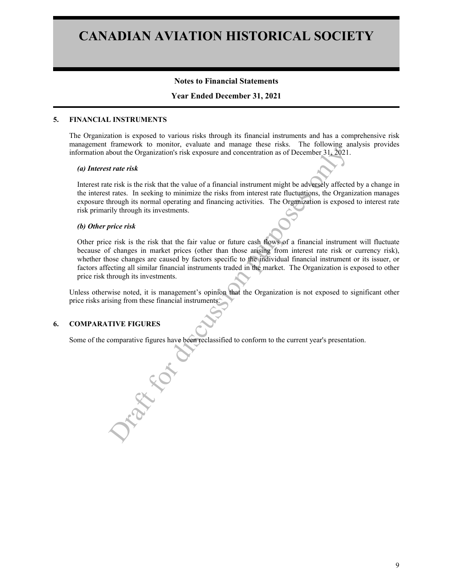### **Notes to Financial Statements**

#### **Year Ended December 31, 2021**

#### **5. FINANCIAL INSTRUMENTS**

The Organization is exposed to various risks through its financial instruments and has a comprehensive risk management framework to monitor, evaluate and manage these risks. The following analysis provides information about the Organization's risk exposure and concentration as of December 31, 2021.

#### *(a) Interest rate risk*

Interest rate risk is the risk that the value of a financial instrument might be adversely affected by a change in the interest rates. In seeking to minimize the risks from interest rate fluctuations, the Organization manages exposure through its normal operating and financing activities. The Organization is exposed to interest rate risk primarily through its investments.

#### *(b) Other price risk*

the Organization's risk exposure and concentration as of December 31, 2021.<br>
At rate risk<br>
it rate risk<br>
it rate risk<br>
it rates. In secking to innimize the risks from interest rate fluctuations, the Organization<br>
it rates. Other price risk is the risk that the fair value or future cash flows of a financial instrument will fluctuate because of changes in market prices (other than those arising from interest rate risk or currency risk), whether those changes are caused by factors specific to the individual financial instrument or its issuer, or factors affecting all similar financial instruments traded in the market. The Organization is exposed to other price risk through its investments.

Unless otherwise noted, it is management's opinion that the Organization is not exposed to significant other price risks arising from these financial instruments.

#### **6. COMPARATIVE FIGURES**

Some of the comparative figures have been reclassified to conform to the current year's presentation.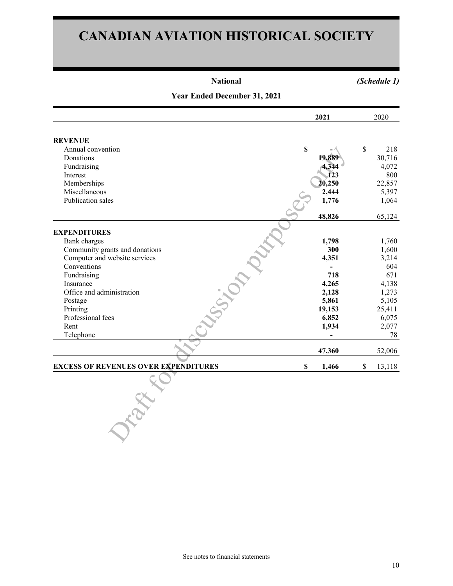| <b>Year Ended December 31, 2021</b>         |                           |              |
|---------------------------------------------|---------------------------|--------------|
|                                             | 2021                      | 2020         |
| <b>REVENUE</b>                              |                           |              |
| Annual convention                           | $\boldsymbol{\mathsf{S}}$ | \$<br>218    |
| Donations                                   | 19,889                    | 30,716       |
| Fundraising                                 | 4,344                     | 4,072        |
| Interest                                    | 123                       | 800          |
| Memberships                                 | 20,250                    | 22,857       |
| Miscellaneous                               | 2,444                     | 5,397        |
| Publication sales                           | 1,776                     | 1,064        |
|                                             |                           |              |
|                                             | 48,826                    | 65,124       |
| <b>EXPENDITURES</b>                         |                           |              |
| Bank charges                                | 1,798                     | 1,760        |
| Community grants and donations              | 300                       | 1,600        |
| Computer and website services               | 4,351                     | 3,214        |
| Conventions                                 |                           | 604          |
| Fundraising                                 | 718                       | 671          |
| Insurance                                   | 4,265                     | 4,138        |
| Office and administration                   | 2,128                     | 1,273        |
| Postage                                     | 5,861                     | 5,105        |
| Printing                                    | 19,153                    | 25,411       |
| Professional fees                           | 6,852                     | 6,075        |
| Rent                                        | 1,934                     | 2,077        |
| Telephone                                   |                           | 78           |
|                                             |                           |              |
|                                             | 47,360                    | 52,006       |
| <b>EXCESS OF REVENUES OVER EXPENDITURES</b> | \$<br>1,466               | \$<br>13,118 |
|                                             |                           |              |

**National** *(Schedule 1)*